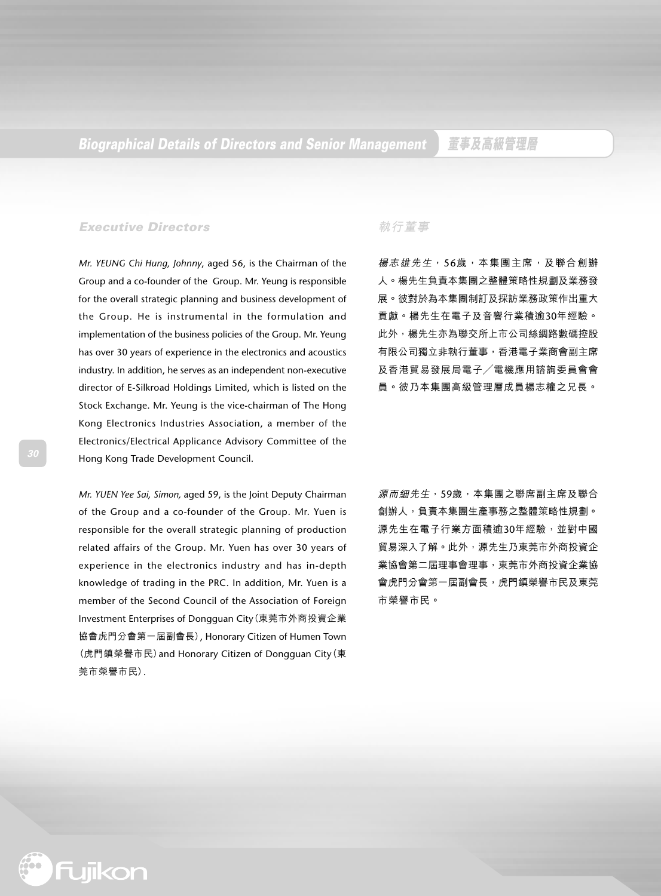#### **Executive Directors**

*Mr. YEUNG Chi Hung, Johnny*, aged 56, is the Chairman of the Group and a co-founder of the Group. Mr. Yeung is responsible for the overall strategic planning and business development of the Group. He is instrumental in the formulation and implementation of the business policies of the Group. Mr. Yeung has over 30 years of experience in the electronics and acoustics industry. In addition, he serves as an independent non-executive director of E-Silkroad Holdings Limited, which is listed on the Stock Exchange. Mr. Yeung is the vice-chairman of The Hong Kong Electronics Industries Association, a member of the Electronics/Electrical Applicance Advisory Committee of the Hong Kong Trade Development Council.

*Mr. YUEN Yee Sai, Simon,* aged 59, is the Joint Deputy Chairman of the Group and a co-founder of the Group. Mr. Yuen is responsible for the overall strategic planning of production related affairs of the Group. Mr. Yuen has over 30 years of experience in the electronics industry and has in-depth knowledge of trading in the PRC. In addition, Mr. Yuen is a member of the Second Council of the Association of Foreign Investment Enterprises of Dongguan City(東莞市外商投資企業 協會虎門分會第一屆副會長), Honorary Citizen of Humen Town (虎門鎮榮譽市民)and Honorary Citizen of Dongguan City(東 莞市榮譽市民).

#### **執行董事**

楊志雄先生,56歲,本集團主席,及聯合創辦 人。楊先生負責本集團之整體策略性規劃及業務發 展。彼對於為本集團制訂及採訪業務政策作出重大 貢獻。楊先生在電子及音響行業積逾30年經驗。 此外,楊先生亦為聯交所上市公司絲綢路數碼控股 有限公司獨立非執行董事,香港電子業商會副主席 及香港貿易發展局電子/電機應用諮詢委員會會 員。彼乃本集團高級管理層成員楊志權之兄長。

源而細先生, 59歲, 本集團之聯席副主席及聯合 創辦人,負責本集團生產事務之整體策略性規劃。 源先生在電子行業方面積逾30年經驗,並對中國 貿易深入了解。此外,源先生乃東莞市外商投資企 業協會第二屆理事會理事,東莞市外商投資企業協 會虎門分會第一屆副會長,虎門鎮榮譽市民及東莞 市榮譽市民。

**\*** Fujikon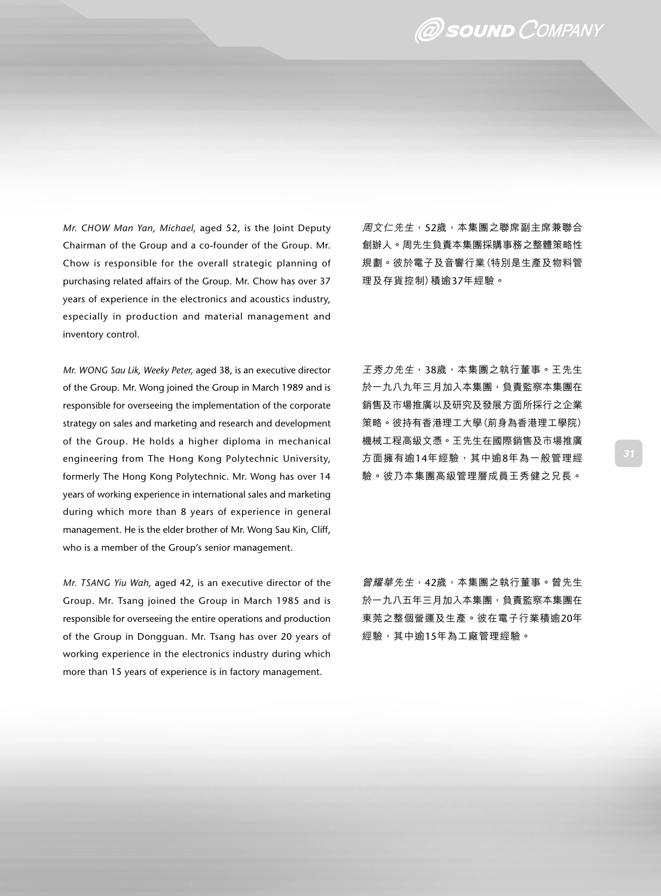### @ SOUND COMPANY

*Mr. CHOW Man Yan, Michael,* aged 52, is the Joint Deputy Chairman of the Group and a co-founder of the Group. Mr. Chow is responsible for the overall strategic planning of purchasing related affairs of the Group. Mr. Chow has over 37 years of experience in the electronics and acoustics industry, especially in production and material management and inventory control.

*Mr. WONG Sau Lik, Weeky Peter,* aged 38, is an executive director of the Group. Mr. Wong joined the Group in March 1989 and is responsible for overseeing the implementation of the corporate strategy on sales and marketing and research and development of the Group. He holds a higher diploma in mechanical engineering from The Hong Kong Polytechnic University, formerly The Hong Kong Polytechnic. Mr. Wong has over 14 years of working experience in international sales and marketing during which more than 8 years of experience in general management. He is the elder brother of Mr. Wong Sau Kin, Cliff, who is a member of the Group's senior management.

*Mr. TSANG Yiu Wah,* aged 42, is an executive director of the Group. Mr. Tsang joined the Group in March 1985 and is responsible for overseeing the entire operations and production of the Group in Dongguan. Mr. Tsang has over 20 years of working experience in the electronics industry during which more than 15 years of experience is in factory management.

周文仁先生,52歲,本集團之聯席副主席兼聯合 創辦人。周先生負責本集團採購事務之整體策略性 規劃。彼於電子及音響行業(特別是生產及物料管 理及存貨控制)積逾37年經驗。

王秀力先生,38歲,本集團之執行董事。王先生 於一九八九年三月加入本集團,負責監察本集團在 銷售及市場推廣以及研究及發展方面所採行之企業 策略。彼持有香港理工大學(前身為香港理工學院) 機械工程高級文憑。王先生在國際銷售及市場推廣 方面擁有逾14年經驗,其中逾8年為一般管理經 驗。彼乃本集團高級管理層成員王秀健之兄長。

曾耀華先生,42歲,本集團之執行董事。曾先生 於一九八五年三月加入本集團,負責監察本集團在 東莞之整個營運及生產。彼在電子行業積逾20年 經驗,其中逾15年為工廠管理經驗。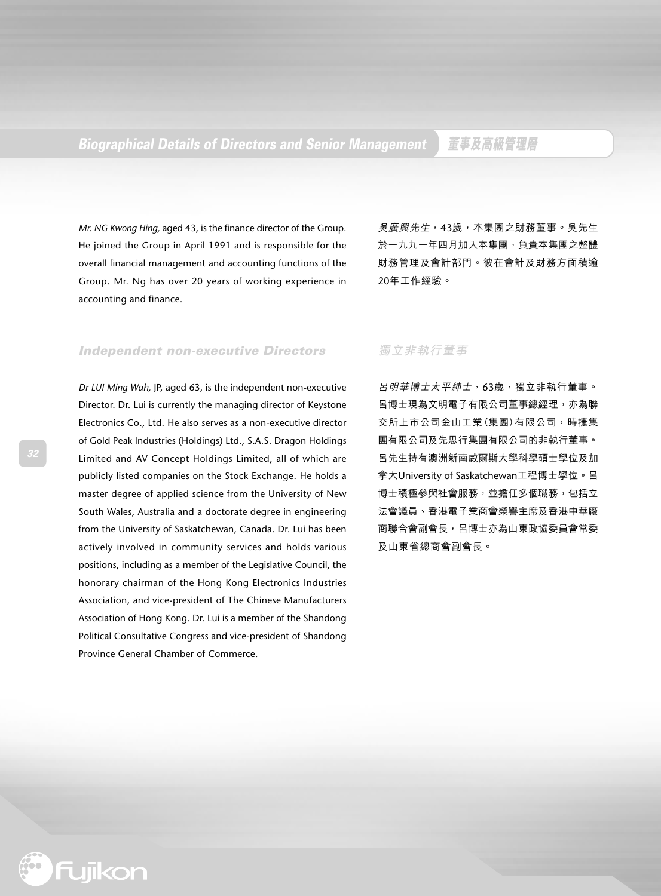### **Biographical Details of Directors and Senior Management 董事及高級管理層**

*Mr. NG Kwong Hing,* aged 43, is the finance director of the Group. He joined the Group in April 1991 and is responsible for the overall financial management and accounting functions of the Group. Mr. Ng has over 20 years of working experience in accounting and finance.

吳廣興先生,43歲,本集團之財務董事。吳先生 於一九九一年四月加入本集團,負責本集團之整體 財務管理及會計部門。彼在會計及財務方面積逾 20年工作經驗。

#### **Independent non-executive Directors**

*Dr LUI Ming Wah,* JP, aged 63, is the independent non-executive Director. Dr. Lui is currently the managing director of Keystone Electronics Co., Ltd. He also serves as a non-executive director of Gold Peak Industries (Holdings) Ltd., S.A.S. Dragon Holdings Limited and AV Concept Holdings Limited, all of which are publicly listed companies on the Stock Exchange. He holds a master degree of applied science from the University of New South Wales, Australia and a doctorate degree in engineering from the University of Saskatchewan, Canada. Dr. Lui has been actively involved in community services and holds various positions, including as a member of the Legislative Council, the honorary chairman of the Hong Kong Electronics Industries Association, and vice-president of The Chinese Manufacturers Association of Hong Kong. Dr. Lui is a member of the Shandong Political Consultative Congress and vice-president of Shandong Province General Chamber of Commerce.

#### **獨立非執行董事**

呂明華博士太平紳士,63歲,獨立非執行董事。 呂博士現為文明電子有限公司董事總經理,亦為聯 交所上市公司金山工業(集團)有限公司,時捷集 團有限公司及先思行集團有限公司的非執行董事。 呂先生持有澳洲新南威爾斯大學科學碩士學位及加 拿大University of Saskatchewan工程博士學位。呂 博士積極參與社會服務,並擔任多個職務,包括立 法會議員、香港電子業商會榮譽主席及香港中華廠 商聯合會副會長,呂博士亦為山東政協委員會常委 及山東省總商會副會長。

**\*** Fujikon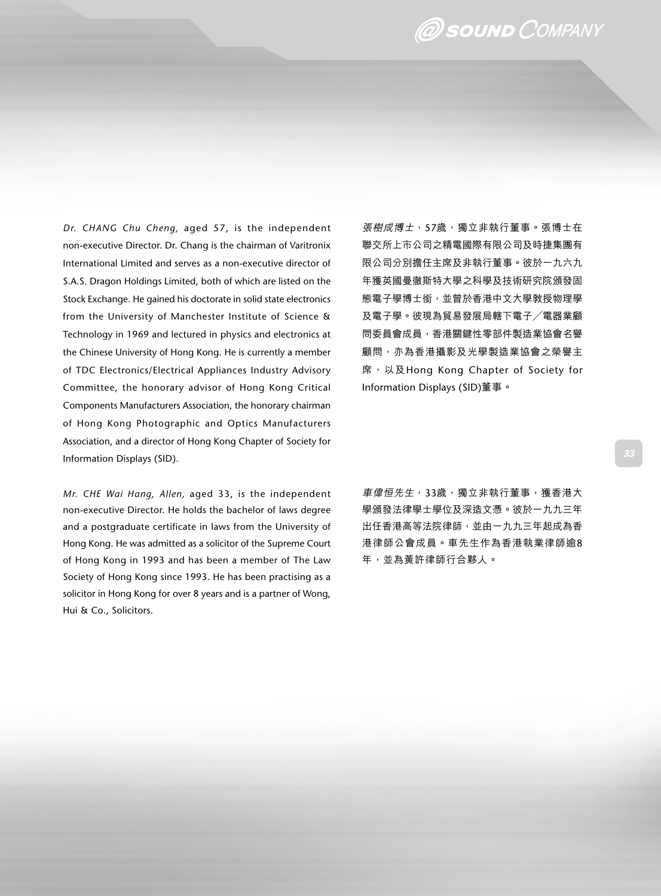## @ SOUND COMPANY

*Dr. CHANG Chu Cheng,* aged 57, is the independent non-executive Director. Dr. Chang is the chairman of Varitronix International Limited and serves as a non-executive director of S.A.S. Dragon Holdings Limited, both of which are listed on the Stock Exchange. He gained his doctorate in solid state electronics from the University of Manchester Institute of Science & Technology in 1969 and lectured in physics and electronics at the Chinese University of Hong Kong. He is currently a member of TDC Electronics/Electrical Appliances Industry Advisory Committee, the honorary advisor of Hong Kong Critical Components Manufacturers Association, the honorary chairman of Hong Kong Photographic and Optics Manufacturers Association, and a director of Hong Kong Chapter of Society for Information Displays (SID).

*Mr. CHE Wai Hang, Allen,* aged 33, is the independent non-executive Director. He holds the bachelor of laws degree and a postgraduate certificate in laws from the University of Hong Kong. He was admitted as a solicitor of the Supreme Court of Hong Kong in 1993 and has been a member of The Law Society of Hong Kong since 1993. He has been practising as a solicitor in Hong Kong for over 8 years and is a partner of Wong, Hui & Co., Solicitors.

張樹成博士,57歲,獨立非執行董事。張博士在 聯交所上市公司之精電國際有限公司及時捷集團有 限公司分別擔任主席及非執行董事。彼於一九六九 年獲英國曼徹斯特大學之科學及技術研究院頒發固 態電子學博士銜,並曾於香港中文大學教授物理學 及電子學。彼現為貿易發展局轄下電子/電器業顧 問委員會成員,香港關鍵性零部件製造業協會名譽 顧問,亦為香港攝影及光學製造業協會之榮譽主 席,以及Hong Kong Chapter of Society for Information Displays (SID)董事。

車偉囱先生,33歲,獨立非執行董事,獲香港大 學頒發法律學士學位及深造文憑。彼於一九九三年 出任香港高等法院律師,並由一九九三年起成為香 港律師公會成員。車先生作為香港執業律師逾8 年,並為黃許律師行合夥人。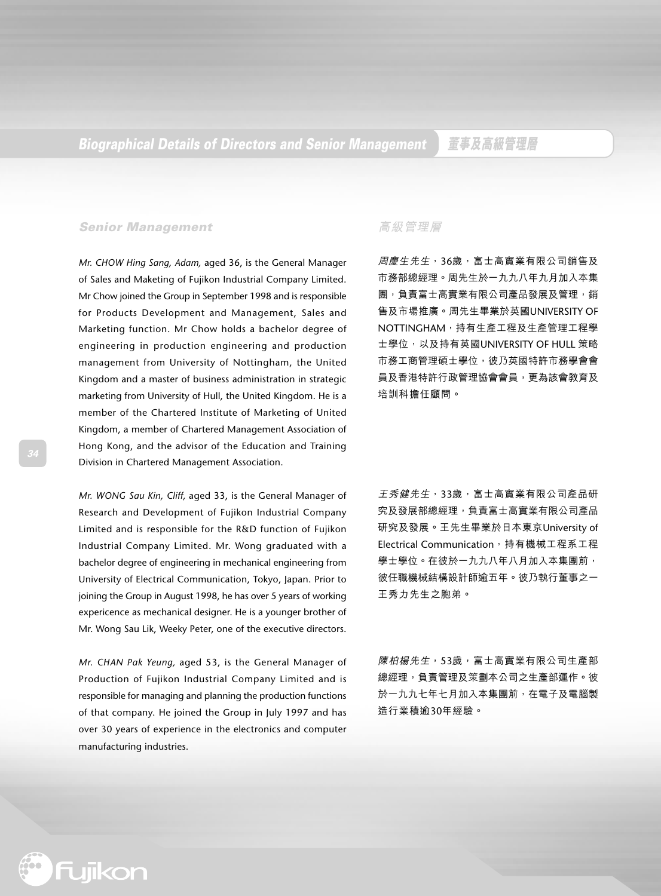#### **Senior Management**

*Mr. CHOW Hing Sang, Adam,* aged 36, is the General Manager of Sales and Maketing of Fujikon Industrial Company Limited. Mr Chow joined the Group in September 1998 and is responsible for Products Development and Management, Sales and Marketing function. Mr Chow holds a bachelor degree of engineering in production engineering and production management from University of Nottingham, the United Kingdom and a master of business administration in strategic marketing from University of Hull, the United Kingdom. He is a member of the Chartered Institute of Marketing of United Kingdom, a member of Chartered Management Association of Hong Kong, and the advisor of the Education and Training Division in Chartered Management Association.

*Mr. WONG Sau Kin, Cliff,* aged 33, is the General Manager of Research and Development of Fujikon Industrial Company Limited and is responsible for the R&D function of Fujikon Industrial Company Limited. Mr. Wong graduated with a bachelor degree of engineering in mechanical engineering from University of Electrical Communication, Tokyo, Japan. Prior to joining the Group in August 1998, he has over 5 years of working expericence as mechanical designer. He is a younger brother of Mr. Wong Sau Lik, Weeky Peter, one of the executive directors.

*Mr. CHAN Pak Yeung,* aged 53, is the General Manager of Production of Fujikon Industrial Company Limited and is responsible for managing and planning the production functions of that company. He joined the Group in July 1997 and has over 30 years of experience in the electronics and computer manufacturing industries.

#### **高級管理層**

周慶生先生,36歲,富士高實業有限公司銷售及 市務部總經理。周先生於一九九八年九月加入本集 團,負責富士高實業有限公司產品發展及管理,銷 售及市場推廣。周先生畢業於英國UNIVERSITY OF NOTTINGHAM,持有生產工程及生產管理工程學 士學位,以及持有英國UNIVERSITY OF HULL 策略 市務工商管理碩士學位,彼乃英國特許市務學會會 員及香港特許行政管理協會會員,更為該會教育及 培訓科擔任顧問。

王秀健先生,33歲,富士高實業有限公司產品研 究及發展部總經理,負責富士高實業有限公司產品 研究及發展。王先生畢業於日本東京University of Electrical Communication, 持有機械工程系工程 學士學位。在彼於一九九八年八月加入本集團前, 彼任職機械結構設計師逾五年。彼乃執行董事之一 王秀力先生之胞弟。

陳柏楊先生,53歲,富士高實業有限公司生產部 總經理,負責管理及策劃本公司之生產部運作。彼 於一九九七年七月加入本集團前,在電子及電腦製 造行業積逾30年經驗。

**\*** Fujikon